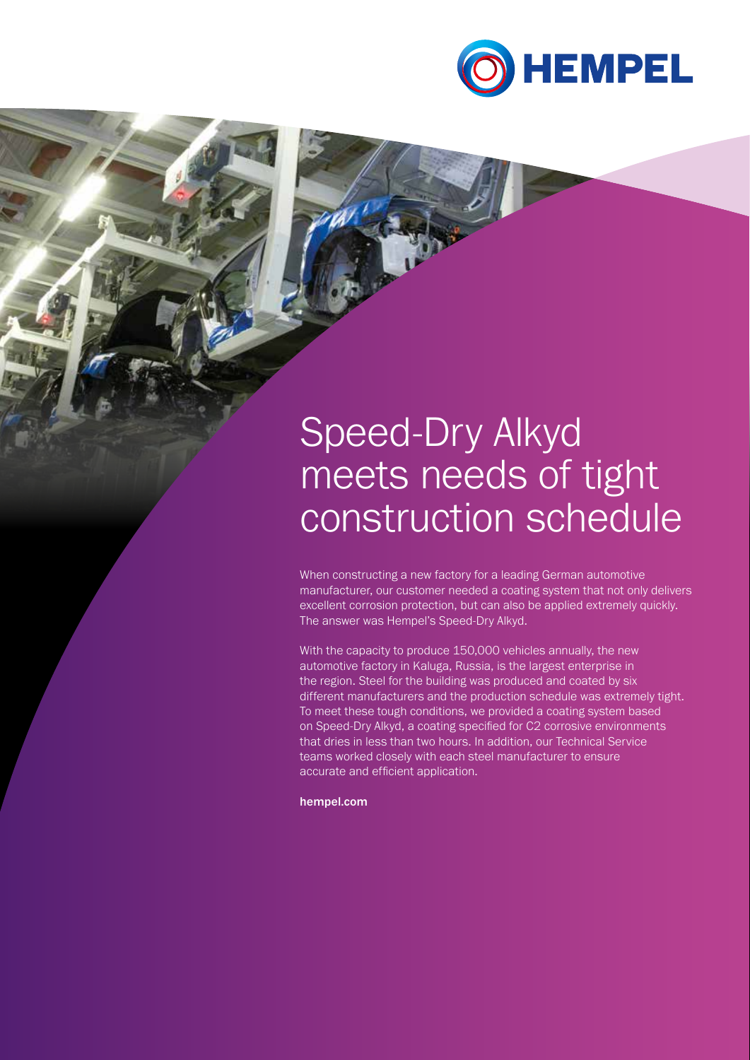

# Speed-Dry Alkyd meets needs of tight construction schedule

When constructing a new factory for a leading German automotive manufacturer, our customer needed a coating system that not only delivers excellent corrosion protection, but can also be applied extremely quickly. The answer was Hempel's Speed-Dry Alkyd.

With the capacity to produce 150,000 vehicles annually, the new automotive factory in Kaluga, Russia, is the largest enterprise in the region. Steel for the building was produced and coated by six different manufacturers and the production schedule was extremely tight. To meet these tough conditions, we provided a coating system based on Speed-Dry Alkyd, a coating specified for C2 corrosive environments that dries in less than two hours. In addition, our Technical Service teams worked closely with each steel manufacturer to ensure accurate and efficient application.

hempel.com